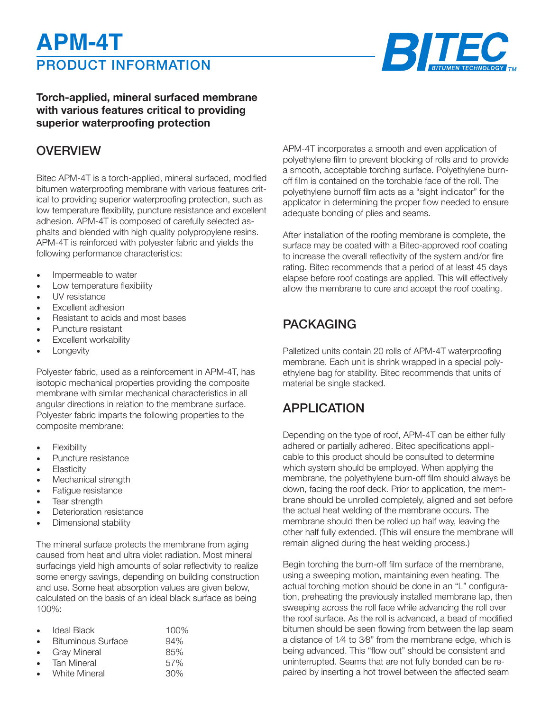# PRODUCT INFORMATION **APM-4T**



### **Torch-applied, mineral surfaced membrane with various features critical to providing superior waterproofing protection**

### **OVERVIEW**

Bitec APM-4T is a torch-applied, mineral surfaced, modified bitumen waterproofing membrane with various features critical to providing superior waterproofing protection, such as low temperature flexibility, puncture resistance and excellent adhesion. APM-4T is composed of carefully selected asphalts and blended with high quality polypropylene resins. APM-4T is reinforced with polyester fabric and yields the following performance characteristics:

- Impermeable to water
- Low temperature flexibility
- UV resistance
- Excellent adhesion
- Resistant to acids and most bases
- Puncture resistant
- Excellent workability
- **Longevity**

Polyester fabric, used as a reinforcement in APM-4T, has isotopic mechanical properties providing the composite membrane with similar mechanical characteristics in all angular directions in relation to the membrane surface. Polyester fabric imparts the following properties to the composite membrane:

- **Flexibility**
- Puncture resistance
- **Elasticity**
- Mechanical strength
- Fatigue resistance
- Tear strength
- Deterioration resistance
- Dimensional stability

The mineral surface protects the membrane from aging caused from heat and ultra violet radiation. Most mineral surfacings yield high amounts of solar reflectivity to realize some energy savings, depending on building construction and use. Some heat absorption values are given below, calculated on the basis of an ideal black surface as being 100%:

| $\bullet$ | Ideal Black               | 100% |
|-----------|---------------------------|------|
| $\bullet$ | <b>Bituminous Surface</b> | 94%  |
| $\bullet$ | <b>Gray Mineral</b>       | 85%  |
| $\bullet$ | <b>Tan Mineral</b>        | 57%  |
|           | <b>White Mineral</b>      | 30%  |

APM-4T incorporates a smooth and even application of polyethylene film to prevent blocking of rolls and to provide a smooth, acceptable torching surface. Polyethylene burnoff film is contained on the torchable face of the roll. The polyethylene burnoff film acts as a "sight indicator" for the applicator in determining the proper flow needed to ensure adequate bonding of plies and seams.

After installation of the roofing membrane is complete, the surface may be coated with a Bitec-approved roof coating to increase the overall reflectivity of the system and/or fire rating. Bitec recommends that a period of at least 45 days elapse before roof coatings are applied. This will effectively allow the membrane to cure and accept the roof coating.

# PACKAGING

Palletized units contain 20 rolls of APM-4T waterproofing membrane. Each unit is shrink wrapped in a special polyethylene bag for stability. Bitec recommends that units of material be single stacked.

## APPLICATION

Depending on the type of roof, APM-4T can be either fully adhered or partially adhered. Bitec specifications applicable to this product should be consulted to determine which system should be employed. When applying the membrane, the polyethylene burn-off film should always be down, facing the roof deck. Prior to application, the membrane should be unrolled completely, aligned and set before the actual heat welding of the membrane occurs. The membrane should then be rolled up half way, leaving the other half fully extended. (This will ensure the membrane will remain aligned during the heat welding process.)

Begin torching the burn-off film surface of the membrane, using a sweeping motion, maintaining even heating. The actual torching motion should be done in an "L" configuration, preheating the previously installed membrane lap, then sweeping across the roll face while advancing the roll over the roof surface. As the roll is advanced, a bead of modified bitumen should be seen flowing from between the lap seam a distance of 1⁄4 to 3⁄8" from the membrane edge, which is being advanced. This "flow out" should be consistent and uninterrupted. Seams that are not fully bonded can be repaired by inserting a hot trowel between the affected seam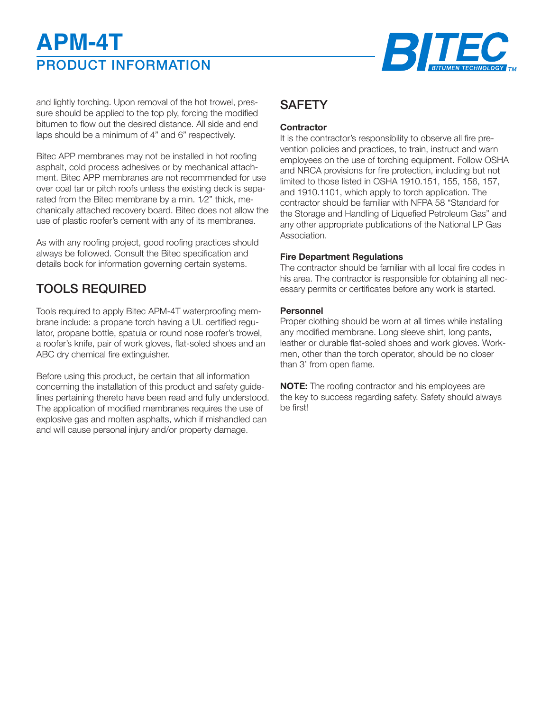# PRODUCT INFORMATION **APM-4T**



and lightly torching. Upon removal of the hot trowel, pressure should be applied to the top ply, forcing the modified bitumen to flow out the desired distance. All side and end laps should be a minimum of 4" and 6" respectively.

Bitec APP membranes may not be installed in hot roofing asphalt, cold process adhesives or by mechanical attachment. Bitec APP membranes are not recommended for use over coal tar or pitch roofs unless the existing deck is separated from the Bitec membrane by a min. 1⁄2" thick, mechanically attached recovery board. Bitec does not allow the use of plastic roofer's cement with any of its membranes.

As with any roofing project, good roofing practices should always be followed. Consult the Bitec specification and details book for information governing certain systems.

# TOOLS REQUIRED

Tools required to apply Bitec APM-4T waterproofing membrane include: a propane torch having a UL certified regulator, propane bottle, spatula or round nose roofer's trowel, a roofer's knife, pair of work gloves, flat-soled shoes and an ABC dry chemical fire extinguisher.

Before using this product, be certain that all information concerning the installation of this product and safety guidelines pertaining thereto have been read and fully understood. The application of modified membranes requires the use of explosive gas and molten asphalts, which if mishandled can and will cause personal injury and/or property damage.

# **SAFFTY**

#### **Contractor**

It is the contractor's responsibility to observe all fire prevention policies and practices, to train, instruct and warn employees on the use of torching equipment. Follow OSHA and NRCA provisions for fire protection, including but not limited to those listed in OSHA 1910.151, 155, 156, 157, and 1910.1101, which apply to torch application. The contractor should be familiar with NFPA 58 "Standard for the Storage and Handling of Liquefied Petroleum Gas" and any other appropriate publications of the National LP Gas Association.

#### **Fire Department Regulations**

The contractor should be familiar with all local fire codes in his area. The contractor is responsible for obtaining all necessary permits or certificates before any work is started.

#### **Personnel**

Proper clothing should be worn at all times while installing any modified membrane. Long sleeve shirt, long pants, leather or durable flat-soled shoes and work gloves. Workmen, other than the torch operator, should be no closer than 3' from open flame.

**NOTE:** The roofing contractor and his employees are the key to success regarding safety. Safety should always be first!